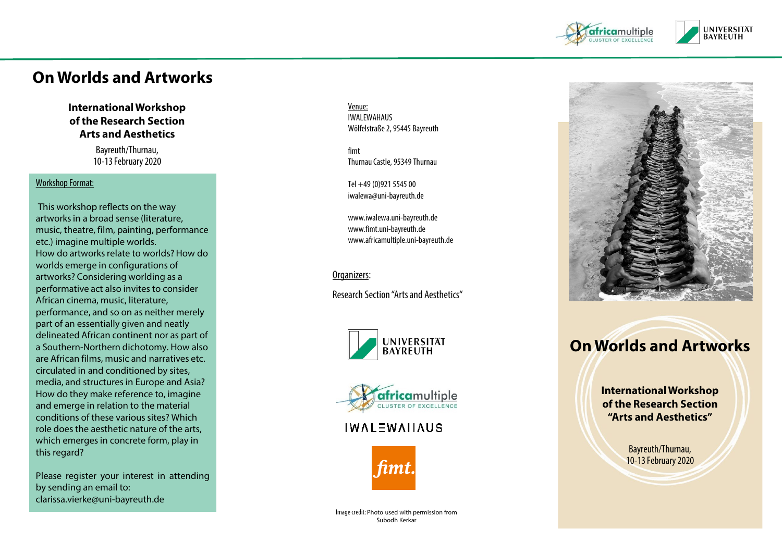

# **On Worlds and Artworks**

#### **International Workshop of the Research Section Arts and Aesthetics**

Bayreuth/Thurnau, 10 -13 February 2020

#### Workshop Format: :

This workshop reflects on the way artworks in a broad sense (literature, music, theatre, film, painting, performance etc.) imagine multiple worlds. How do artworks relate to worlds? How do worlds emerge in configurations of artworks? Considering worlding as a performative act also invites to consider African cinema, music, literature, performance, and so on as neither merely part of an essentially given and neatly delineated African continent nor as part of a Southern -Northern dichotomy. How also are African films, music and narratives etc. circulated in and conditioned by sites, media, and structures in Europe and Asia? How do they make reference to, imagine and emerge in relation to the material conditions of these various sites? Which role does the aesthetic nature of the arts, which emerges in concrete form, play in this regard ?

Please register your interest in attending by sending an email to : clarissa .vierke@uni -bayreuth .de

Venue : IWALEWAHAUS Wölfelstraße2, 95445 Bayreuth

fimt ThurnauCastle, 95349 Thurnau

Tel +49 (0)921 5545 00 iwalewa@uni -bayreuth.de

www.iwalewa.uni -bayreuth.de www.fimt.uni -bayreuth.de www.africamultiple.uni -bayreuth.de

Organizers

:

Research Section "Arts and Aesthetics "





## **IWALEWAIIAUS**





# **On Worlds and Artworks**

**International Workshop of the Research Section "Arts and Aesthetics"**

> Bayreuth/Thurnau, 10 -13 February 2020